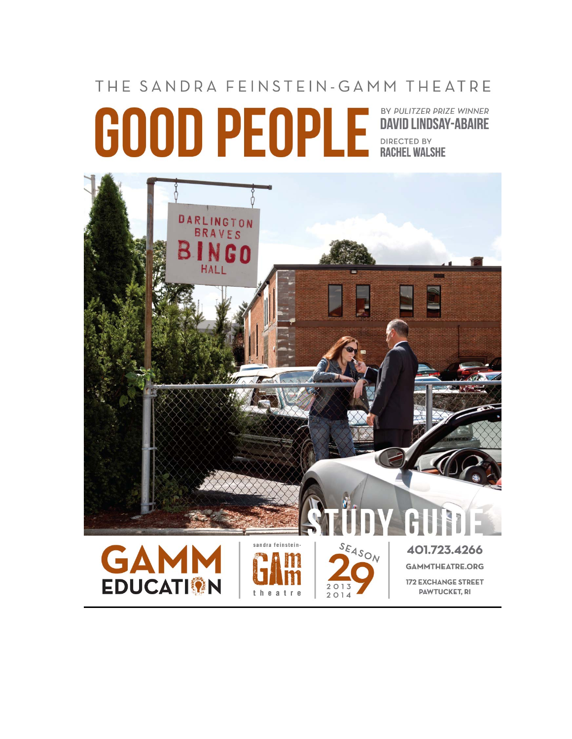# THE SANDRA FEINSTEIN-GAMM THEATRE

**COOOPEOPLE BAVID LINDSAY-ABAIRE** BY PULITZER PRIZE WINNER









401.723.4266 **GAMMTHEATRE.ORG 172 EXCHANGE STREET PAWTUCKET, RI**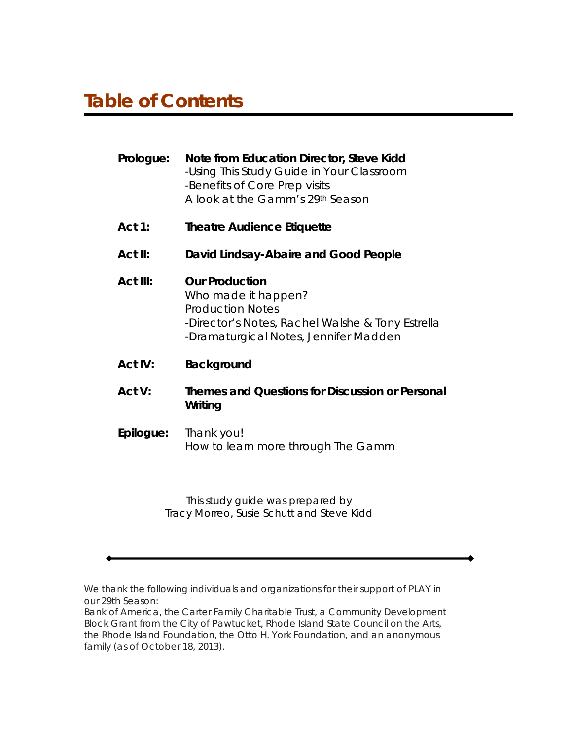# **Table of Contents**

| Prologue:       | Note from Education Director, Steve Kidd<br>-Using This Study Guide in Your Classroom<br>-Benefits of Core Prep visits<br>A look at the Gamm's 29th Season           |
|-----------------|----------------------------------------------------------------------------------------------------------------------------------------------------------------------|
| <b>Act 1:</b>   | <b>Theatre Audience Etiquette</b>                                                                                                                                    |
| Act II:         | David Lindsay-Abaire and <i>Good People</i>                                                                                                                          |
| <b>Act III:</b> | <b>Our Production</b><br>Who made it happen?<br><b>Production Notes</b><br>-Director's Notes, Rachel Walshe & Tony Estrella<br>-Dramaturgical Notes, Jennifer Madden |
| Act IV:         | <b>Background</b>                                                                                                                                                    |
| Act V:          | <b>Themes and Questions for Discussion or Personal</b><br>Writing                                                                                                    |
| Epilogue:       | Thank you!<br>How to learn more through The Gamm                                                                                                                     |

*This study guide was prepared by Tracy Morreo, Susie Schutt and Steve Kidd* 

*We thank the following individuals and organizations for their support of PLAY in our 29th Season:* 

*Bank of America, the Carter Family Charitable Trust, a Community Development Block Grant from the City of Pawtucket, Rhode Island State Council on the Arts, the Rhode Island Foundation, the Otto H. York Foundation, and an anonymous family (as of October 18, 2013).*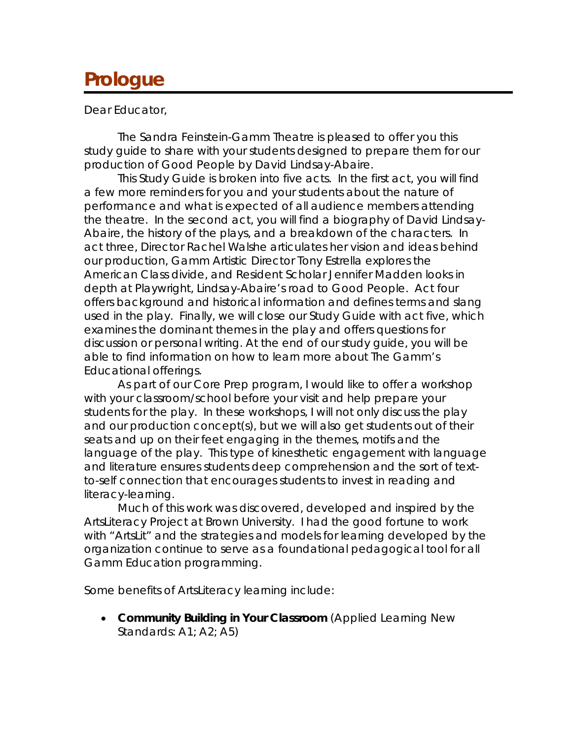# **Prologue**

Dear Educator,

The Sandra Feinstein-Gamm Theatre is pleased to offer you this study guide to share with your students designed to prepare them for our production of *Good People* by David Lindsay-Abaire.

This Study Guide is broken into five acts. In the first act, you will find a few more reminders for you and your students about the nature of performance and what is expected of all audience members attending the theatre. In the second act, you will find a biography of David Lindsay-Abaire, the history of the plays, and a breakdown of the characters. In act three, Director Rachel Walshe articulates her vision and ideas behind our production, Gamm Artistic Director Tony Estrella explores the American Class divide, and Resident Scholar Jennifer Madden looks in depth at Playwright, Lindsay-Abaire's road to *Good People*. Act four offers background and historical information and defines terms and slang used in the play. Finally, we will close our Study Guide with act five, which examines the dominant themes in the play and offers questions for discussion or personal writing. At the end of our study guide, you will be able to find information on how to learn more about The Gamm's Educational offerings.

As part of our Core Prep program, I would like to offer a workshop with your classroom/school before your visit and help prepare your students for the play. In these workshops, I will not only discuss the play and our production concept(s), but we will also get students out of their seats and up on their feet engaging in the themes, motifs and the language of the play. This type of kinesthetic engagement with language and literature ensures students deep comprehension and the sort of textto-self connection that encourages students to invest in reading and literacy-learning.

Much of this work was discovered, developed and inspired by the ArtsLiteracy Project at Brown University. I had the good fortune to work with "ArtsLit" and the strategies and models for learning developed by the organization continue to serve as a foundational pedagogical tool for all Gamm Education programming.

Some benefits of ArtsLiteracy learning include:

• **Community Building in Your Classroom** (Applied Learning New Standards: A1; A2; A5)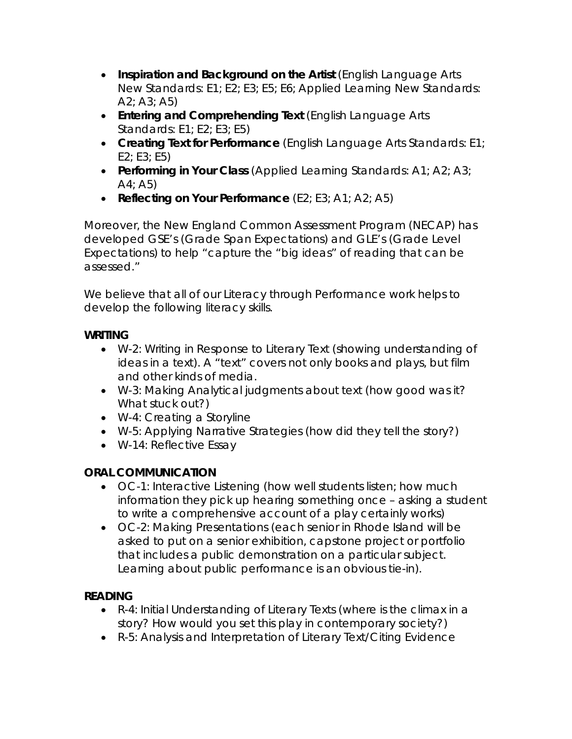- **Inspiration and Background on the Artist** (English Language Arts New Standards: E1; E2; E3; E5; E6; Applied Learning New Standards:  $A2; A3; A5$
- **Entering and Comprehending Text** (English Language Arts Standards: E1; E2; E3; E5)
- **Creating Text for Performance** (English Language Arts Standards: E1; E2; E3; E5)
- **Performing in Your Class** (Applied Learning Standards: A1; A2; A3;  $A_1$ ; A5)
- **Reflecting on Your Performance** (E2; E3; A1; A2; A5)

Moreover, the New England Common Assessment Program (NECAP) has developed GSE's (Grade Span Expectations) and GLE's (Grade Level Expectations) to help "capture the "big ideas" of reading that can be assessed."

We believe that all of our Literacy through Performance work helps to develop the following literacy skills.

# **WRITING**

- W-2: Writing in Response to Literary Text (showing understanding of ideas in a text). A "text" covers not only books and plays, but film and other kinds of media.
- W-3: Making Analytical judgments about text (how good was it? What stuck out?)
- W-4: Creating a Storyline
- W-5: Applying Narrative Strategies (how did they tell the story?)
- W-14: Reflective Essay

# **ORAL COMMUNICATION**

- OC-1: Interactive Listening (how well students listen; how much information they pick up hearing something once – asking a student to write a comprehensive account of a play certainly works)
- OC-2: Making Presentations (each senior in Rhode Island will be asked to put on a senior exhibition, capstone project or portfolio that includes a public demonstration on a particular subject. Learning about public performance is an obvious tie-in).

# **READING**

- R-4: Initial Understanding of Literary Texts (where is the climax in a story? How would you set this play in contemporary society?)
- R-5: Analysis and Interpretation of Literary Text/Citing Evidence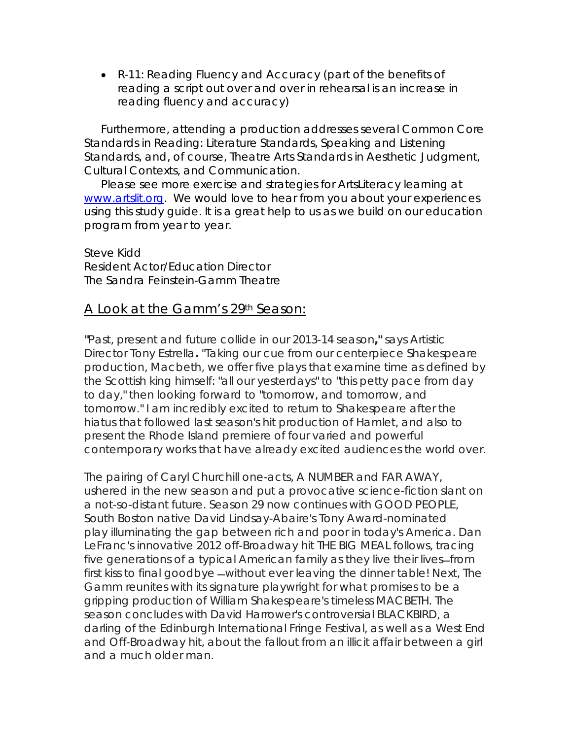• R-11: Reading Fluency and Accuracy (part of the benefits of reading a script out over and over in rehearsal is an increase in reading fluency and accuracy)

Furthermore, attending a production addresses several Common Core Standards in Reading: Literature Standards, Speaking and Listening Standards, and, of course, Theatre Arts Standards in Aesthetic Judgment, Cultural Contexts, and Communication.

Please see more exercise and strategies for ArtsLiteracy learning at www.artslit.org. We would love to hear from you about your experiences using this study guide. It is a great help to us as we build on our education program from year to year.

Steve Kidd Resident Actor/Education Director The Sandra Feinstein-Gamm Theatre

# A Look at the Gamm's 29th Season:

**"**Past, present and future collide in our 2013-14 season**,"** says Artistic Director Tony Estrella**.** "Taking our cue from our centerpiece Shakespeare production, Macbeth, we offer five plays that examine time as defined by the Scottish king himself: "all our yesterdays" to "this petty pace from day to day," then looking forward to "tomorrow, and tomorrow, and tomorrow." I am incredibly excited to return to Shakespeare after the hiatus that followed last season's hit production of *Hamlet*, and also to present the Rhode Island premiere of four varied and powerful contemporary works that have already excited audiences the world over.

The pairing of Caryl Churchill one-acts, A NUMBER and FAR AWAY, ushered in the new season and put a provocative science-fiction slant on a not-so-distant future. Season 29 now continues with GOOD PEOPLE, South Boston native David Lindsay-Abaire's Tony Award-nominated play illuminating the gap between rich and poor in today's America. Dan LeFranc's innovative 2012 off-Broadway hit THE BIG MEAL follows, tracing five generations of a typical American family as they live their lives-from first kiss to final goodbye –without ever leaving the dinner table! Next, The Gamm reunites with its signature playwright for what promises to be a gripping production of William Shakespeare's timeless MACBETH. The season concludes with David Harrower's controversial BLACKBIRD, a darling of the Edinburgh International Fringe Festival, as well as a West End and Off-Broadway hit, about the fallout from an illicit affair between a girl and a much older man.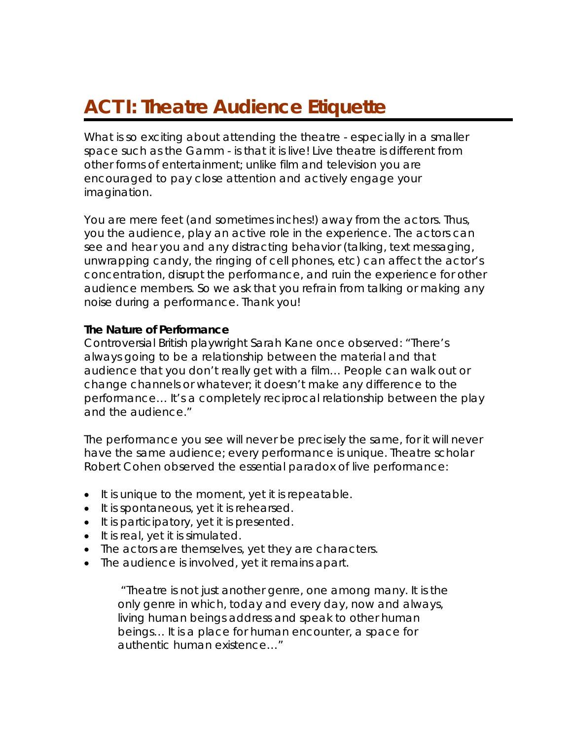# **ACT I: Theatre Audience Etiquette**

What is so exciting about attending the theatre - especially in a smaller space such as the Gamm - is that it is live! Live theatre is different from other forms of entertainment; unlike film and television you are encouraged to pay close attention and actively engage your imagination.

You are mere feet (and sometimes inches!) away from the actors. Thus, you the audience, play an active role in the experience. The actors can see and hear you and any distracting behavior (talking, text messaging, unwrapping candy, the ringing of cell phones, etc) can affect the actor's concentration, disrupt the performance, and ruin the experience for other audience members. So we ask that you refrain from talking or making any noise during a performance. Thank you!

#### **The Nature of Performance**

Controversial British playwright Sarah Kane once observed: "There's always going to be a relationship between the material and that audience that you don't really get with a film… People can walk out or change channels or whatever; it doesn't make any difference to the performance… It's a completely reciprocal relationship between the play and the audience."

The performance you see will never be precisely the same, for it will never have the same audience; every performance is unique. Theatre scholar Robert Cohen observed the essential paradox of live performance:

- It is unique to the moment, yet it is repeatable.
- It is spontaneous, yet it is rehearsed.
- It is participatory, yet it is presented.
- It is real, yet it is simulated.
- The actors are themselves, yet they are characters.
- The audience is involved, yet it remains apart.

 "Theatre is not just another genre, one among many. It is the only genre in which, today and every day, now and always, living human beings address and speak to other human beings… It is a place for human encounter, a space for authentic human existence…"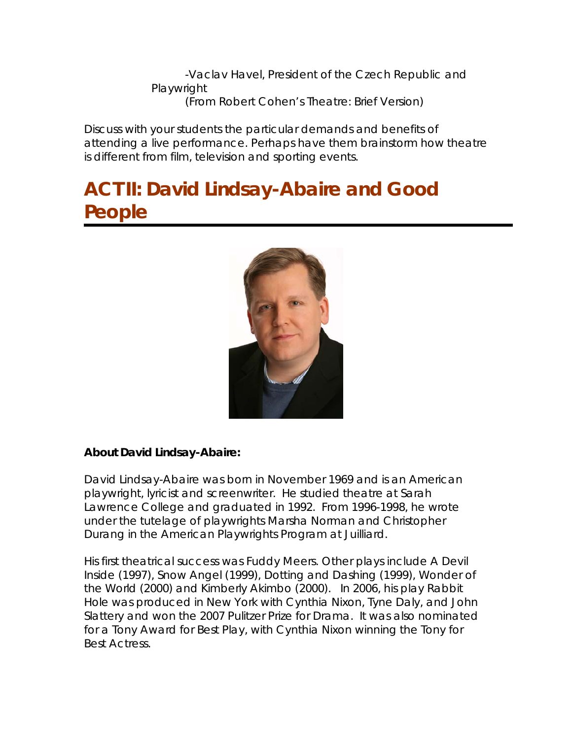-Vaclav Havel, President of the Czech Republic and **Playwright** (From Robert Cohen's *Theatre: Brief Version*)

Discuss with your students the particular demands and benefits of attending a live performance. Perhaps have them brainstorm how theatre is different from film, television and sporting events.

# **ACT II: David Lindsay-Abaire and** *Good People*



### **About David Lindsay-Abaire:**

David Lindsay-Abaire was born in November 1969 and is an American playwright, lyricist and screenwriter. He studied theatre at Sarah Lawrence College and graduated in 1992. From 1996-1998, he wrote under the tutelage of playwrights Marsha Norman and Christopher Durang in the American Playwrights Program at Juilliard.

His first theatrical success was *Fuddy Meers*. Other plays include *A Devil Inside* (1997), *Snow Angel* (1999), *Dotting and Dashing* (1999), *Wonder of the World* (2000) and *Kimberly Akimbo* (2000). In 2006, his play *Rabbit Hole* was produced in New York with Cynthia Nixon, Tyne Daly, and John Slattery and won the 2007 Pulitzer Prize for Drama. It was also nominated for a Tony Award for Best Play, with Cynthia Nixon winning the Tony for Best Actress.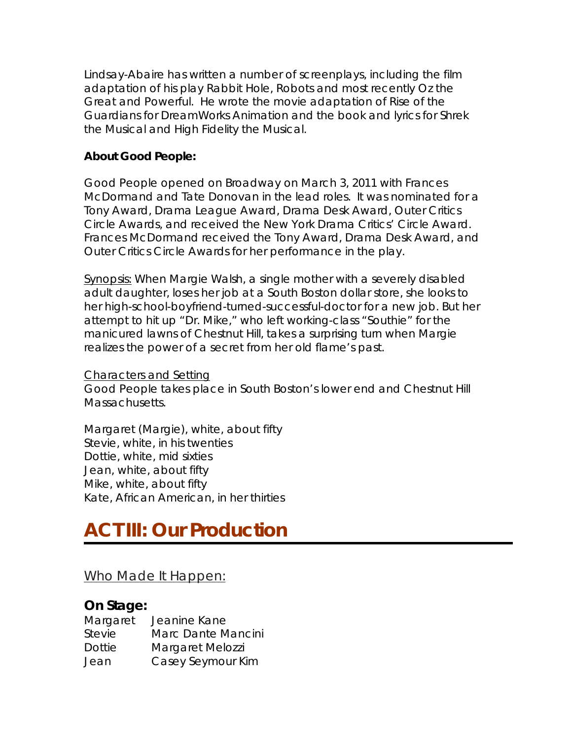Lindsay-Abaire has written a number of screenplays, including the film adaptation of his play *Rabbit Hole*, *Robots* and most recently *Oz the Great and Powerful*. He wrote the movie adaptation of *Rise of the Guardians* for DreamWorks Animation and the book and lyrics for *Shrek the Musical* and *High Fidelity the Musical*.

### **About** *Good People***:**

*Good People* opened on Broadway on March 3, 2011 with Frances McDormand and Tate Donovan in the lead roles. It was nominated for a Tony Award, Drama League Award, Drama Desk Award, Outer Critics Circle Awards, and received the New York Drama Critics' Circle Award. Frances McDormand received the Tony Award, Drama Desk Award, and Outer Critics Circle Awards for her performance in the play.

Synopsis: When Margie Walsh, a single mother with a severely disabled adult daughter, loses her job at a South Boston dollar store, she looks to her high-school-boyfriend-turned-successful-doctor for a new job. But her attempt to hit up "Dr. Mike," who left working-class "Southie" for the manicured lawns of Chestnut Hill, takes a surprising turn when Margie realizes the power of a secret from her old flame's past.

Characters and Setting *Good People* takes place in South Boston's lower end and Chestnut Hill Massachusetts.

*Margaret (Margie),* white, about fifty *Stevie*, white, in his twenties *Dottie*, white, mid sixties *Jean*, white, about fifty *Mike*, white, about fifty *Kate*, African American, in her thirties

# **ACT III: Our Production**

## Who Made It Happen:

## **On Stage:**

| Margaret      | Jeanine Kane       |
|---------------|--------------------|
| <b>Stevie</b> | Marc Dante Mancini |
| Dottie        | Margaret Melozzi   |
| Jean          | Casey Seymour Kim  |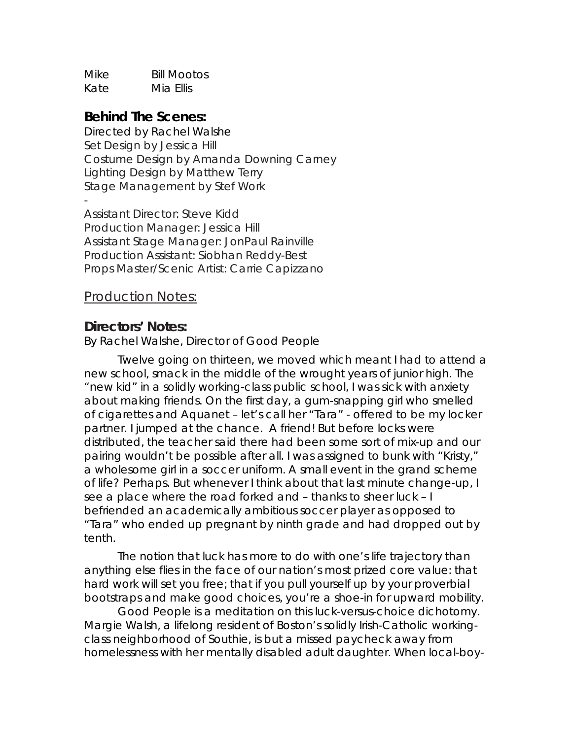Mike Bill Mootos Kate Mia Ellis

## **Behind The Scenes:**

Directed by Rachel Walshe Set Design by Jessica Hill Costume Design by Amanda Downing Carney Lighting Design by Matthew Terry Stage Management by Stef Work -

Assistant Director: Steve Kidd Production Manager: Jessica Hill Assistant Stage Manager: JonPaul Rainville Production Assistant: Siobhan Reddy-Best Props Master/Scenic Artist: Carrie Capizzano

#### Production Notes:

### **Directors' Notes:**

By Rachel Walshe, *Director of* Good People

Twelve going on thirteen, we moved which meant I had to attend a new school, smack in the middle of the wrought years of junior high. The "new kid" in a solidly working-class public school, I was sick with anxiety about making friends. On the first day, a gum-snapping girl who smelled of cigarettes and Aquanet – let's call her "Tara" - offered to be my locker partner. I jumped at the chance. A friend! But before locks were distributed, the teacher said there had been some sort of mix-up and our pairing wouldn't be possible after all. I was assigned to bunk with "Kristy," a wholesome girl in a soccer uniform. A small event in the grand scheme of life? Perhaps. But whenever I think about that last minute change-up, I see a place where the road forked and – thanks to sheer luck – I befriended an academically ambitious soccer player as opposed to "Tara" who ended up pregnant by ninth grade and had dropped out by tenth.

The notion that *luck* has more to do with one's life trajectory than anything else flies in the face of our nation's most prized core value: that hard work will set you free; that if you pull yourself up by your proverbial bootstraps and make good *choices*, you're a shoe-in for upward mobility.

*Good People* is a meditation on this luck-versus-choice dichotomy. Margie Walsh, a lifelong resident of Boston's solidly Irish-Catholic workingclass neighborhood of Southie, is but a missed paycheck away from homelessness with her mentally disabled adult daughter. When local-boy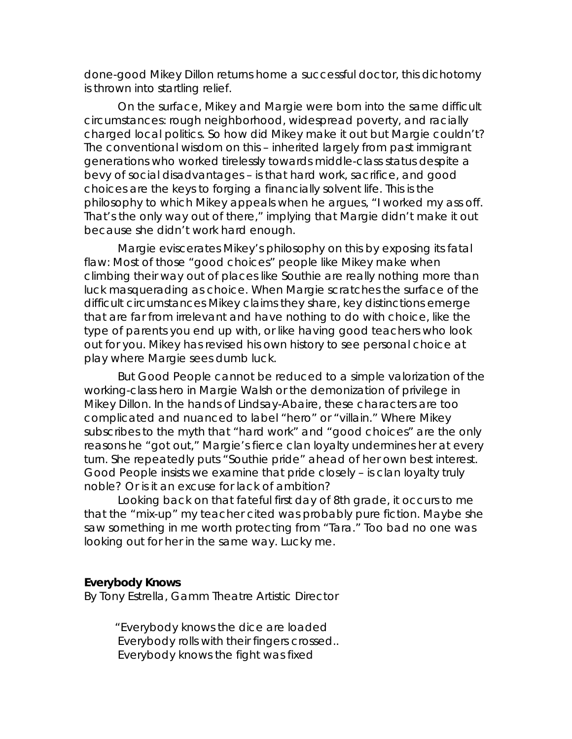done-good Mikey Dillon returns home a successful doctor, this dichotomy is thrown into startling relief.

On the surface, Mikey and Margie were born into the same difficult circumstances: rough neighborhood, widespread poverty, and racially charged local politics. So how did Mikey make it out but Margie couldn't? The conventional wisdom on this – inherited largely from past immigrant generations who worked tirelessly towards middle-class status despite a bevy of social disadvantages – is that hard work, sacrifice, and good choices are the keys to forging a financially solvent life. This is the philosophy to which Mikey appeals when he argues, "I worked my ass off. That's the only way out of there," implying that Margie didn't make it out because she didn't *work* hard enough.

Margie eviscerates Mikey's philosophy on this by exposing its fatal flaw: Most of those "good choices" people like Mikey make when climbing their way out of places like Southie are really nothing more than *luck* masquerading as choice. When Margie scratches the surface of the difficult circumstances Mikey claims they share, key distinctions emerge that are far from irrelevant and have nothing to do with choice, like the type of parents you end up with, or like having good teachers who look out for you. Mikey has revised his own history to see personal choice at play where Margie sees dumb luck.

But *Good People* cannot be reduced to a simple valorization of the working-class hero in Margie Walsh or the demonization of privilege in Mikey Dillon. In the hands of Lindsay-Abaire, these characters are too complicated and nuanced to label "hero" or "villain." Where Mikey subscribes to the myth that "hard work" and "good choices" are the only reasons he "got out," Margie's fierce clan loyalty undermines her at every turn. She repeatedly puts "Southie pride" ahead of her own best interest. *Good People* insists we examine that pride closely - is clan loyalty truly noble? Or is it an excuse for lack of ambition?

Looking back on that fateful first day of 8th grade, it occurs to me that the "mix-up" my teacher cited was probably pure fiction. Maybe she saw something in me worth protecting from "Tara." Too bad no one was looking out for her in the same way. Lucky me.

#### **Everybody Knows**

By Tony Estrella, *Gamm Theatre Artistic Director* 

*"Everybody knows the dice are loaded Everybody rolls with their fingers crossed.. Everybody knows the fight was fixed*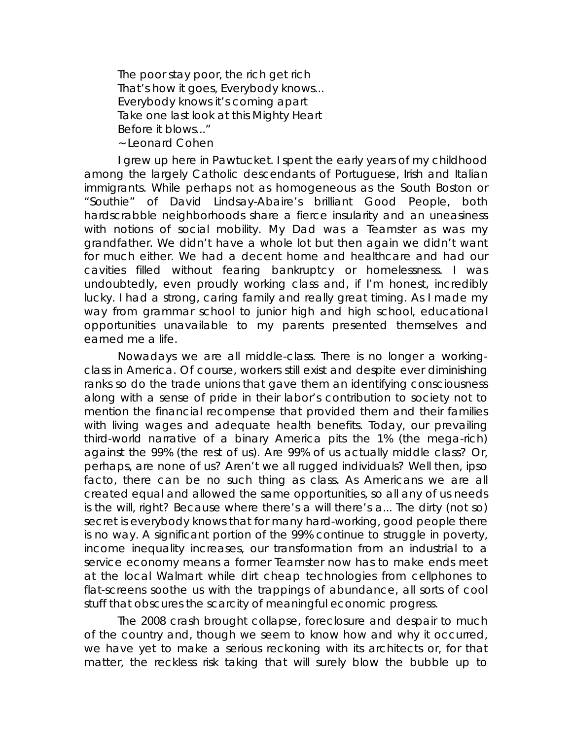*The poor stay poor, the rich get rich That's how it goes, Everybody knows... Everybody knows it's coming apart Take one last look at this Mighty Heart Before it blows..."*  ~ Leonard Cohen

I grew up here in Pawtucket. I spent the early years of my childhood among the largely Catholic descendants of Portuguese, Irish and Italian immigrants. While perhaps not as homogeneous as the South Boston or "Southie" of David Lindsay-Abaire's brilliant *Good People*, both hardscrabble neighborhoods share a fierce insularity and an uneasiness with notions of social mobility. My Dad was a Teamster as was my grandfather. We didn't have a whole lot but then again we didn't want for much either. We had a decent home and healthcare and had our cavities filled without fearing bankruptcy or homelessness. I was undoubtedly, even proudly working class and, if I'm honest, incredibly lucky. I had a strong, caring family and really great timing. As I made my way from grammar school to junior high and high school, educational opportunities unavailable to my parents presented themselves and earned me a life.

Nowadays we are all *middle*-class. There is no longer a *working*class in America. Of course, workers still exist and despite ever diminishing ranks so do the trade unions that gave them an identifying consciousness along with a sense of pride in their labor's contribution to society not to mention the financial recompense that provided them and their families with living wages and adequate health benefits. Today, our prevailing third-world narrative of a binary America pits the 1% (the mega-rich) against the 99% (the rest of us). Are 99% of us actually middle class? Or, perhaps, are none of us? Aren't we all rugged individuals? Well then, ipso facto, there can be no such thing as class. As Americans we are all created equal and allowed the same opportunities, so all any of us needs is the will, right? Because where there's a will there's a... The dirty (not so) secret is everybody knows that for many hard-working, good people there is no *way*. A significant portion of the 99% continue to struggle in poverty, income inequality increases, our transformation from an industrial to a service economy means a former Teamster now has to make ends meet at the local Walmart while dirt cheap technologies from cellphones to flat-screens soothe us with the trappings of *abundance*, all sorts of cool *stuff* that obscures the *scarcity* of meaningful economic progress.

The 2008 crash brought collapse, foreclosure and despair to much of the country and, though we seem to know how and why it occurred, we have yet to make a serious reckoning with its architects or, for that matter, the reckless risk taking that will surely blow the bubble up to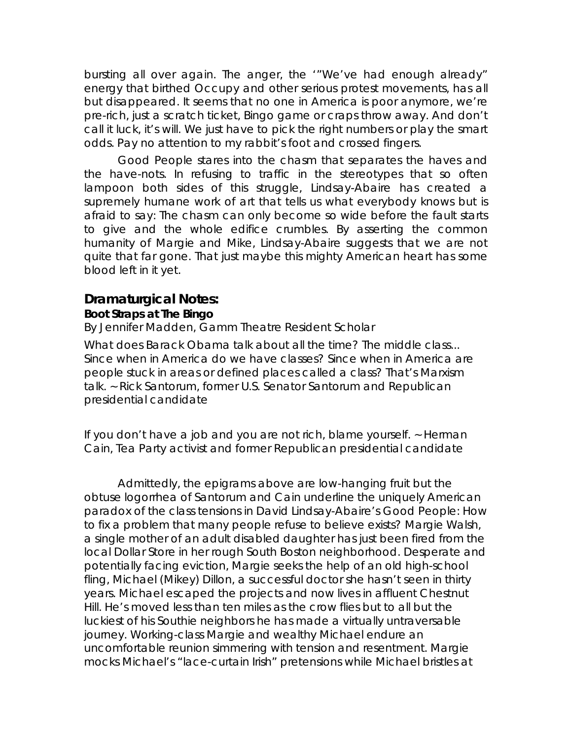bursting all over again. The anger, the '"We've had enough already" energy that birthed Occupy and other serious protest movements, has all but disappeared. It seems that no one in America is poor anymore, we're pre-rich, just a scratch ticket, Bingo game or craps throw away. And don't call it luck, it's *will*. We just have to pick the right numbers or play the smart odds. Pay no attention to my rabbit's foot and crossed fingers.

*Good People* stares into the chasm that separates the haves and the have-nots. In refusing to traffic in the stereotypes that so often lampoon both sides of this struggle, Lindsay-Abaire has created a supremely humane work of art that tells us what everybody knows but is afraid to say: The chasm can only become so wide before the fault starts to give and the whole edifice crumbles. By asserting the common humanity of Margie and Mike, Lindsay-Abaire suggests that we are not quite that far gone. That just maybe this mighty American heart has some blood left in it yet.

# **Dramaturgical Notes: Boot Straps at The Bingo**

By Jennifer Madden, *Gamm Theatre Resident Scholar*

*What does Barack Obama talk about all the time? The middle class... Since when in America do we have classes? Since when in America are people stuck in areas or defined places called a class? That's Marxism talk.* ~ Rick Santorum, former U.S. Senator Santorum and Republican presidential candidate

*If you don't have a job and you are not rich, blame yourself.* ~ Herman Cain, Tea Party activist and former Republican presidential candidate

Admittedly, the epigrams above are low-hanging fruit but the obtuse logorrhea of Santorum and Cain underline the uniquely American paradox of the class tensions in David Lindsay-Abaire's *Good People*: How to fix a problem that many people refuse to believe exists? Margie Walsh, a single mother of an adult disabled daughter has just been fired from the local Dollar Store in her rough South Boston neighborhood. Desperate and potentially facing eviction, Margie seeks the help of an old high-school fling, Michael (Mikey) Dillon, a successful doctor she hasn't seen in thirty years. Michael escaped the projects and now lives in affluent Chestnut Hill. He's moved less than ten miles as the crow flies but to all but the luckiest of his Southie neighbors he has made a virtually untraversable journey. Working-class Margie and wealthy Michael endure an uncomfortable reunion simmering with tension and resentment. Margie mocks Michael's "lace-curtain Irish" pretensions while Michael bristles at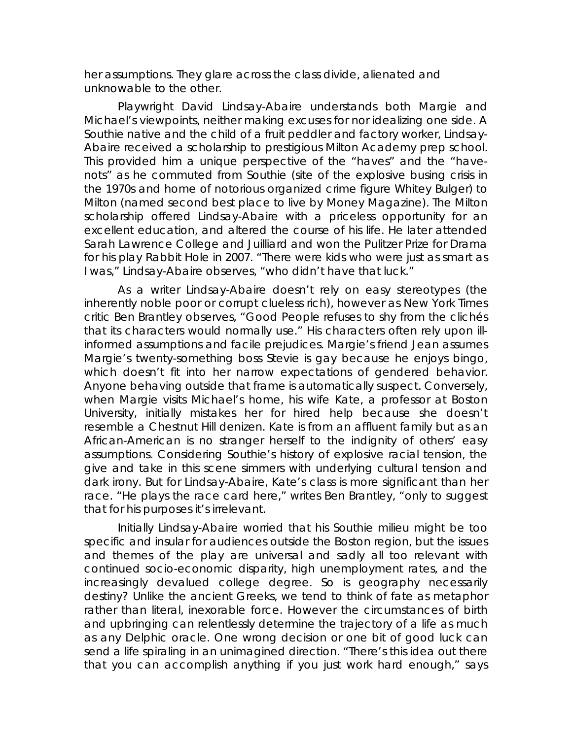her assumptions. They glare across the class divide, alienated and unknowable to the other.

Playwright David Lindsay-Abaire understands both Margie and Michael's viewpoints, neither making excuses for nor idealizing one side. A Southie native and the child of a fruit peddler and factory worker, Lindsay-Abaire received a scholarship to prestigious Milton Academy prep school. This provided him a unique perspective of the "haves" and the "havenots" as he commuted from Southie (site of the explosive busing crisis in the 1970s and home of notorious organized crime figure Whitey Bulger) to Milton (named second best place to live by *Money Magazine*)*.* The Milton scholarship offered Lindsay-Abaire with a priceless opportunity for an excellent education, and altered the course of his life. He later attended Sarah Lawrence College and Juilliard and won the Pulitzer Prize for Drama for his play *Rabbit Hole* in 2007. "There were kids who were just as smart as I was," Lindsay-Abaire observes, "who didn't have that luck."

As a writer Lindsay-Abaire doesn't rely on easy stereotypes (the inherently noble poor or corrupt clueless rich), however as *New York Times*  critic Ben Brantley observes, "*Good People* refuses to shy from the clichés that its characters would normally use." His characters often rely upon illinformed assumptions and facile prejudices. Margie's friend Jean assumes Margie's twenty-something boss Stevie is gay because he enjoys bingo, which doesn't fit into her narrow expectations of gendered behavior. Anyone behaving outside that frame is automatically suspect. Conversely, when Margie visits Michael's home, his wife Kate, a professor at Boston University, initially mistakes her for hired help because she doesn't resemble a Chestnut Hill denizen. Kate is from an affluent family but as an African-American is no stranger herself to the indignity of others' easy assumptions. Considering Southie's history of explosive racial tension, the give and take in this scene simmers with underlying cultural tension and dark irony. But for Lindsay-Abaire, Kate's class is more significant than her race. "He plays the race card here," writes Ben Brantley, "only to suggest that for his purposes it's irrelevant.

Initially Lindsay-Abaire worried that his Southie milieu might be too specific and insular for audiences outside the Boston region, but the issues and themes of the play are universal and sadly all too relevant with continued socio-economic disparity, high unemployment rates, and the increasingly devalued college degree. So is geography necessarily destiny? Unlike the ancient Greeks, we tend to think of fate as metaphor rather than literal, inexorable force. However the circumstances of birth and upbringing can relentlessly determine the trajectory of a life as much as any Delphic oracle. One wrong decision or one bit of good luck can send a life spiraling in an unimagined direction. "There's this idea out there that you can accomplish anything if you just work hard enough," says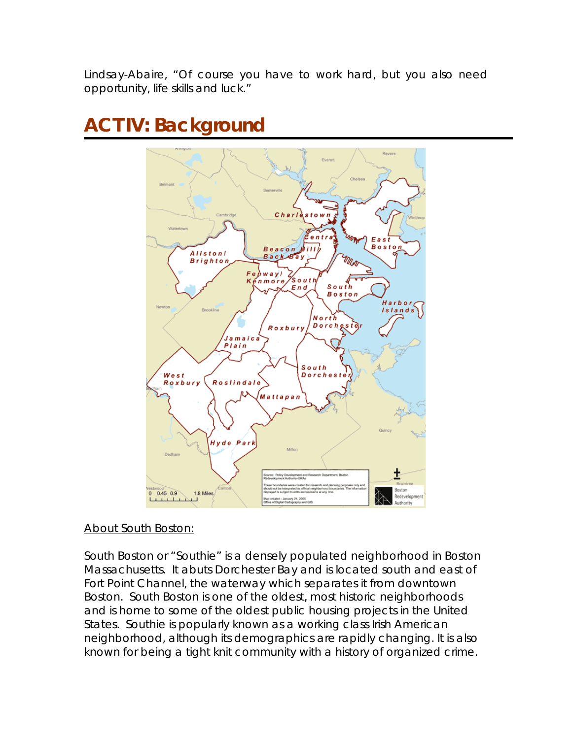Lindsay-Abaire, "Of course you have to work hard, but you also need opportunity, life skills and luck."

# **ACT IV: Background**



## About South Boston:

South Boston or "Southie" is a densely populated neighborhood in Boston Massachusetts. It abuts Dorchester Bay and is located south and east of Fort Point Channel, the waterway which separates it from downtown Boston. South Boston is one of the oldest, most historic neighborhoods and is home to some of the oldest public housing projects in the United States. Southie is popularly known as a working class Irish American neighborhood, although its demographics are rapidly changing. It is also known for being a tight knit community with a history of organized crime.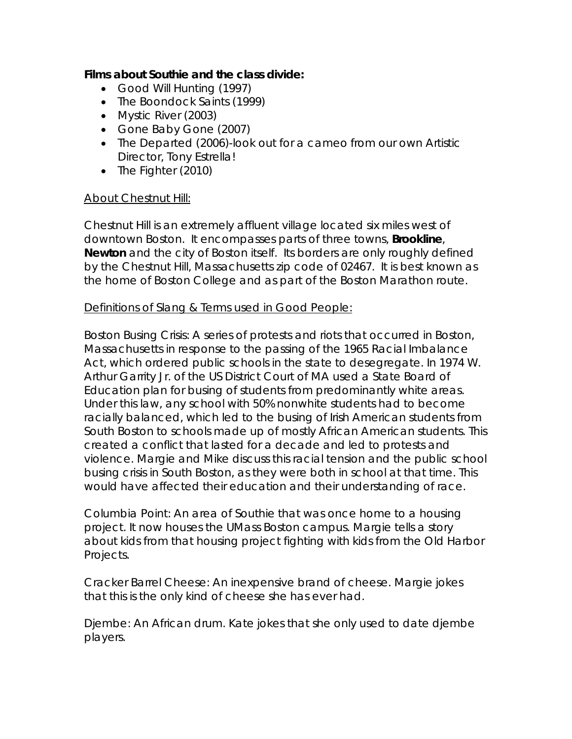### **Films about Southie and the class divide:**

- *Good Will Hunting* (1997)
- *The Boondock Saints* (1999)
- *Mystic River* (2003)
- *Gone Baby Gone* (2007)
- *The Departed* (2006)-look out for a cameo from our own Artistic Director, Tony Estrella!
- *The Fighter* (2010)

### About Chestnut Hill:

Chestnut Hill is an extremely affluent village located six miles west of downtown Boston. It encompasses parts of three towns, **Brookline**, **Newton** and the city of Boston itself. Its borders are only roughly defined by the Chestnut Hill, Massachusetts zip code of 02467. It is best known as the home of Boston College and as part of the Boston Marathon route.

#### Definitions of Slang & Terms used in *Good People*:

*Boston Busing Crisis*: A series of protests and riots that occurred in Boston, Massachusetts in response to the passing of the 1965 Racial Imbalance Act, which ordered public schools in the state to desegregate. In 1974 W. Arthur Garrity Jr. of the US District Court of MA used a State Board of Education plan for busing of students from predominantly white areas. Under this law, any school with 50% nonwhite students had to become racially balanced, which led to the busing of Irish American students from South Boston to schools made up of mostly African American students. This created a conflict that lasted for a decade and led to protests and violence. Margie and Mike discuss this racial tension and the public school busing crisis in South Boston, as they were both in school at that time. This would have affected their education and their understanding of race.

*Columbia Point*: An area of Southie that was once home to a housing project. It now houses the UMass Boston campus. Margie tells a story about kids from that housing project fighting with kids from the Old Harbor Projects.

*Cracker Barrel Cheese*: An inexpensive brand of cheese. Margie jokes that this is the only kind of cheese she has ever had.

*Djembe*: An African drum. Kate jokes that she only used to date djembe players.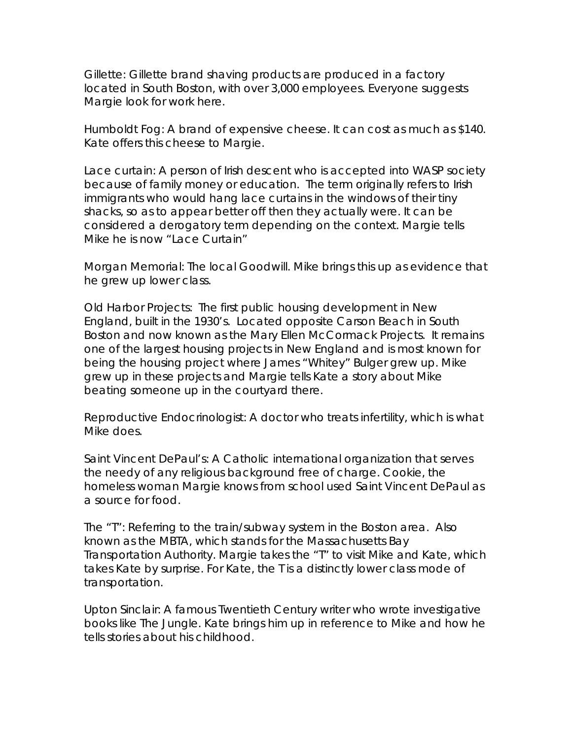*Gillette*: Gillette brand shaving products are produced in a factory located in South Boston, with over 3,000 employees. Everyone suggests Margie look for work here.

*Humboldt Fog*: A brand of expensive cheese. It can cost as much as \$140. Kate offers this cheese to Margie.

*Lace curtain:* A person of Irish descent who is accepted into WASP society because of family money or education. The term originally refers to Irish immigrants who would hang lace curtains in the windows of their tiny shacks, so as to appear better off then they actually were. It can be considered a derogatory term depending on the context. Margie tells Mike he is now "Lace Curtain"

*Morgan Memorial*: The local Goodwill. Mike brings this up as evidence that he grew up lower class.

*Old Harbor Projects*: The first public housing development in New England, built in the 1930's. Located opposite Carson Beach in South Boston and now known as the Mary Ellen McCormack Projects. It remains one of the largest housing projects in New England and is most known for being the housing project where James "Whitey" Bulger grew up. Mike grew up in these projects and Margie tells Kate a story about Mike beating someone up in the courtyard there.

*Reproductive Endocrinologist*: A doctor who treats infertility, which is what Mike does.

*Saint Vincent DePaul's*: A Catholic international organization that serves the needy of any religious background free of charge. Cookie, the homeless woman Margie knows from school used Saint Vincent DePaul as a source for food.

*The "T":* Referring to the train/subway system in the Boston area. Also known as the MBTA, which stands for the Massachusetts Bay Transportation Authority. Margie takes the "T" to visit Mike and Kate, which takes Kate by surprise. For Kate, the T is a distinctly lower class mode of transportation.

*Upton Sinclair*: A famous Twentieth Century writer who wrote investigative books like The Jungle. Kate brings him up in reference to Mike and how he tells stories about his childhood.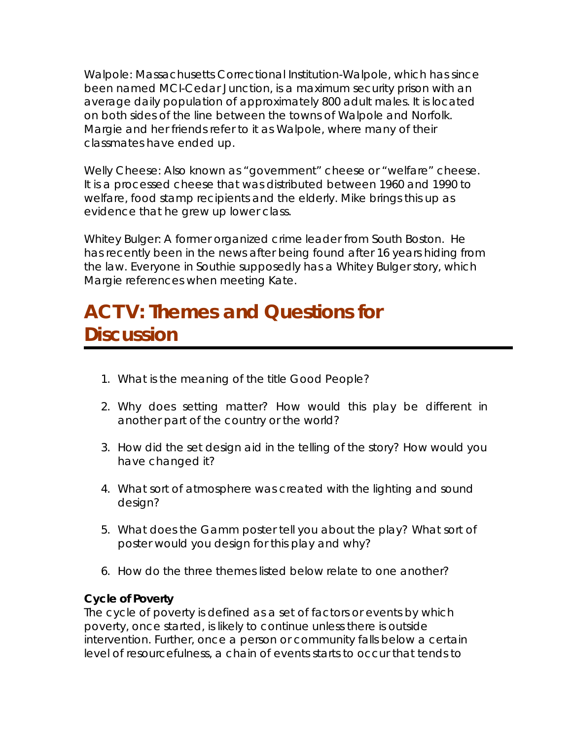*Walpole*: Massachusetts Correctional Institution-Walpole, which has since been named MCI-Cedar Junction, is a maximum security prison with an average daily population of approximately 800 adult males. It is located on both sides of the line between the towns of Walpole and Norfolk. Margie and her friends refer to it as Walpole, where many of their classmates have ended up.

*Welly Cheese*: Also known as "government" cheese or "welfare" cheese. It is a processed cheese that was distributed between 1960 and 1990 to welfare, food stamp recipients and the elderly. Mike brings this up as evidence that he grew up lower class.

*Whitey Bulger*: A former organized crime leader from South Boston. He has recently been in the news after being found after 16 years hiding from the law. Everyone in Southie supposedly has a Whitey Bulger story, which Margie references when meeting Kate.

# **ACT V: Themes and Questions for Discussion**

- 1. What is the meaning of the title *Good People*?
- 2. Why does setting matter? How would this play be different in another part of the country or the world?
- 3. How did the set design aid in the telling of the story? How would you have changed it?
- 4. What sort of atmosphere was created with the lighting and sound design?
- 5. What does the Gamm poster tell you about the play? What sort of poster would you design for this play and why?
- 6. How do the three themes listed below relate to one another?

## **Cycle of Poverty**

The cycle of poverty is defined as a set of factors or events by which poverty, once started, is likely to continue unless there is outside intervention. Further, once a person or community falls below a certain level of resourcefulness, a chain of events starts to occur that tends to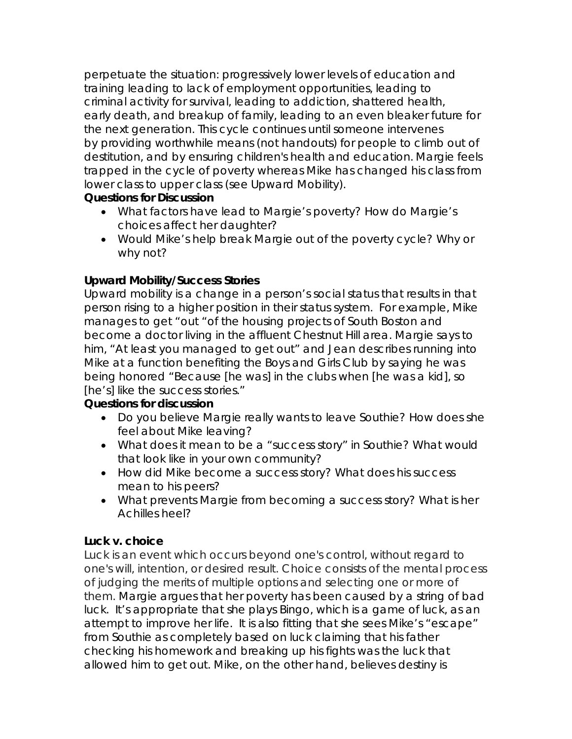perpetuate the situation: progressively lower levels of education and training leading to lack of employment opportunities, leading to criminal activity for survival, leading to addiction, shattered health, early death, and breakup of family, leading to an even bleaker future for the next generation. This cycle continues until someone intervenes by providing worthwhile means (not handouts) for people to climb out of destitution, and by ensuring children's health and education. Margie feels trapped in the cycle of poverty whereas Mike has changed his class from lower class to upper class (see Upward Mobility).

### **Questions for Discussion**

- *What factors have lead to Margie's poverty? How do Margie's choices affect her daughter?*
- *Would Mike's help break Margie out of the poverty cycle? Why or why not?*

# **Upward Mobility/Success Stories**

Upward mobility is a change in a person's social status that results in that person rising to a higher position in their status system. For example, Mike manages to get "out "of the housing projects of South Boston and become a doctor living in the affluent Chestnut Hill area. Margie says to him, "At least you managed to get out" and Jean describes running into Mike at a function benefiting the Boys and Girls Club by saying he was being honored "Because [he was] in the clubs when [he was a kid], so [he's] like the success stories."

## **Questions for discussion**

- *Do you believe Margie really wants to leave Southie? How does she feel about Mike leaving?*
- *What does it mean to be a "success story" in Southie? What would that look like in your own community?*
- *How did Mike become a success story? What does his success mean to his peers?*
- What prevents Margie from becoming a success story? What is her *Achilles heel?*

## **Luck v. choice**

Luck is an event which occurs beyond one's control, without regard to one's will, intention, or desired result. Choice consists of the mental process of judging the merits of multiple options and selecting one or more of them. Margie argues that her poverty has been caused by a string of bad luck. It's appropriate that she plays Bingo, which is a game of luck, as an attempt to improve her life. It is also fitting that she sees Mike's "escape" from Southie as completely based on luck claiming that his father checking his homework and breaking up his fights was the luck that allowed him to get out. Mike, on the other hand, believes destiny is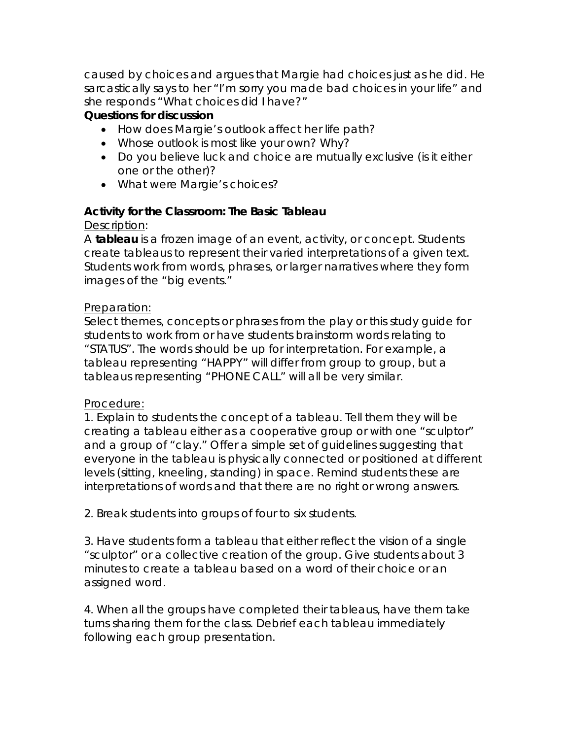caused by choices and argues that Margie had choices just as he did. He sarcastically says to her "I'm sorry you made bad choices in your life" and she responds "What choices did I have?"

### **Questions for discussion**

- *How does Margie's outlook affect her life path?*
- *Whose outlook is most like your own? Why?*
- *Do you believe luck and choice are mutually exclusive (is it either one or the other)?*
- *What were Margie's choices?*

### **Activity for the Classroom: The Basic Tableau**

### Description*:*

A **tableau** is a frozen image of an event, activity, or concept. Students create tableaus to represent their varied interpretations of a given text. Students work from words, phrases, or larger narratives where they form images of the "big events."

### Preparation:

Select themes, concepts or phrases from the play or this study guide for students to work from or have students brainstorm words relating to "STATUS". The words should be up for interpretation. For example, a tableau representing "HAPPY" will differ from group to group, but a tableaus representing "PHONE CALL" will all be very similar.

### Procedure:

1. Explain to students the concept of a tableau. Tell them they will be creating a tableau either as a cooperative group or with one "sculptor" and a group of "clay." Offer a simple set of guidelines suggesting that everyone in the tableau is physically connected or positioned at different levels (sitting, kneeling, standing) in space. Remind students these are interpretations of words and that there are no right or wrong answers.

2. Break students into groups of four to six students.

3. Have students form a tableau that either reflect the vision of a single "sculptor" or a collective creation of the group. Give students about 3 minutes to create a tableau based on a word of their choice or an assigned word.

4. When all the groups have completed their tableaus, have them take turns sharing them for the class. Debrief each tableau immediately following each group presentation.